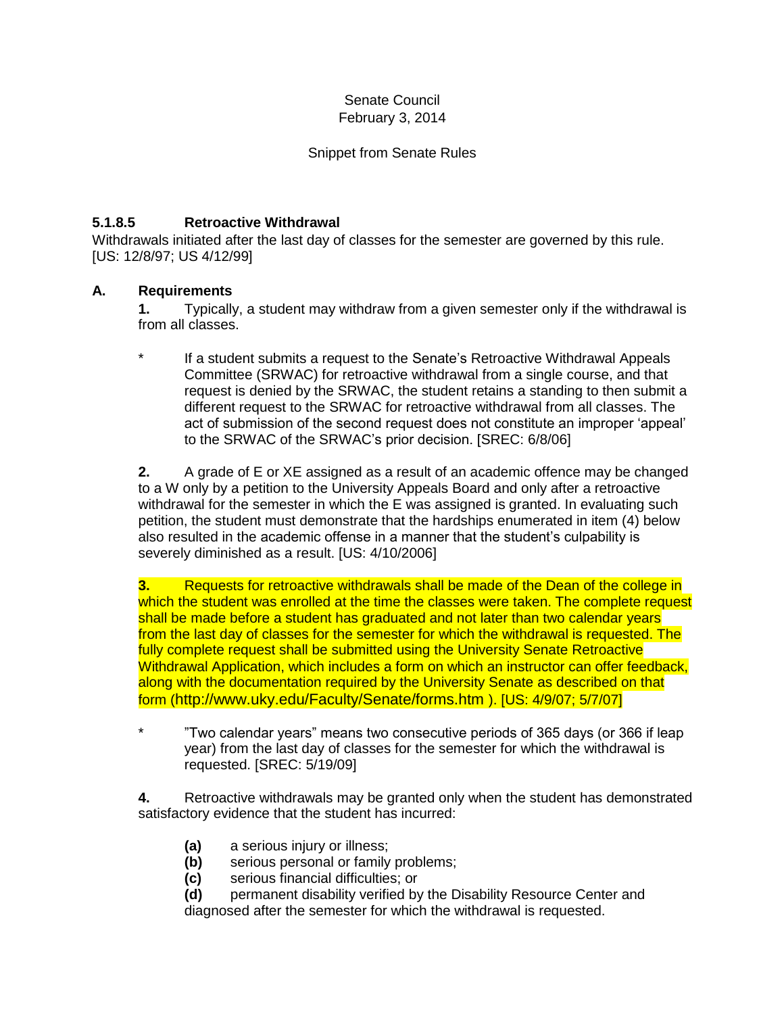### Senate Council February 3, 2014

### Snippet from Senate Rules

# **5.1.8.5 Retroactive Withdrawal**

Withdrawals initiated after the last day of classes for the semester are governed by this rule. [US: 12/8/97; US 4/12/99]

### **A. Requirements**

**1.** Typically, a student may withdraw from a given semester only if the withdrawal is from all classes.

If a student submits a request to the Senate's Retroactive Withdrawal Appeals Committee (SRWAC) for retroactive withdrawal from a single course, and that request is denied by the SRWAC, the student retains a standing to then submit a different request to the SRWAC for retroactive withdrawal from all classes. The act of submission of the second request does not constitute an improper 'appeal' to the SRWAC of the SRWAC's prior decision. [SREC: 6/8/06]

**2.** A grade of E or XE assigned as a result of an academic offence may be changed to a W only by a petition to the University Appeals Board and only after a retroactive withdrawal for the semester in which the E was assigned is granted. In evaluating such petition, the student must demonstrate that the hardships enumerated in item (4) below also resulted in the academic offense in a manner that the student's culpability is severely diminished as a result. [US: 4/10/2006]

**3.** Requests for retroactive withdrawals shall be made of the Dean of the college in which the student was enrolled at the time the classes were taken. The complete request shall be made before a student has graduated and not later than two calendar years from the last day of classes for the semester for which the withdrawal is requested. The fully complete request shall be submitted using the University Senate Retroactive Withdrawal Application, which includes a form on which an instructor can offer feedback, along with the documentation required by the University Senate as described on that form (http://www.uky.edu/Faculty/Senate/forms.htm ). [US: 4/9/07; 5/7/07]

\* "Two calendar years" means two consecutive periods of 365 days (or 366 if leap year) from the last day of classes for the semester for which the withdrawal is requested. [SREC: 5/19/09]

**4.** Retroactive withdrawals may be granted only when the student has demonstrated satisfactory evidence that the student has incurred:

- **(a)** a serious injury or illness;
- **(b)** serious personal or family problems;
- **(c)** serious financial difficulties; or

**(d)** permanent disability verified by the Disability Resource Center and diagnosed after the semester for which the withdrawal is requested.